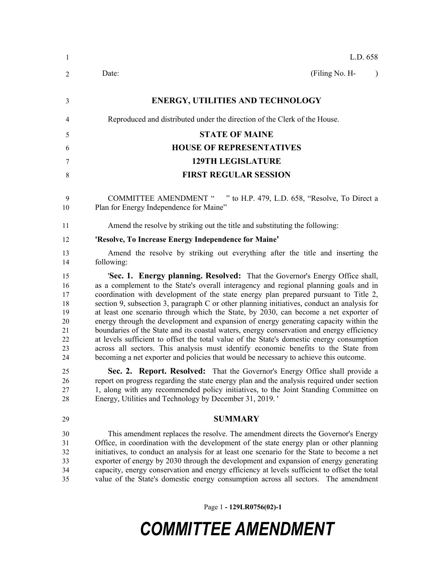| -1                                                       | L.D. 658                                                                                                                                                                                                                                                                                                                                                                                                                                                                                                                                                                                                                                                                                                                                                                                                                                                                                                                |
|----------------------------------------------------------|-------------------------------------------------------------------------------------------------------------------------------------------------------------------------------------------------------------------------------------------------------------------------------------------------------------------------------------------------------------------------------------------------------------------------------------------------------------------------------------------------------------------------------------------------------------------------------------------------------------------------------------------------------------------------------------------------------------------------------------------------------------------------------------------------------------------------------------------------------------------------------------------------------------------------|
| 2                                                        | (Filing No. H-<br>Date:<br>$\lambda$                                                                                                                                                                                                                                                                                                                                                                                                                                                                                                                                                                                                                                                                                                                                                                                                                                                                                    |
| 3                                                        | <b>ENERGY, UTILITIES AND TECHNOLOGY</b>                                                                                                                                                                                                                                                                                                                                                                                                                                                                                                                                                                                                                                                                                                                                                                                                                                                                                 |
| 4                                                        | Reproduced and distributed under the direction of the Clerk of the House.                                                                                                                                                                                                                                                                                                                                                                                                                                                                                                                                                                                                                                                                                                                                                                                                                                               |
| 5                                                        | <b>STATE OF MAINE</b>                                                                                                                                                                                                                                                                                                                                                                                                                                                                                                                                                                                                                                                                                                                                                                                                                                                                                                   |
| 6                                                        | <b>HOUSE OF REPRESENTATIVES</b>                                                                                                                                                                                                                                                                                                                                                                                                                                                                                                                                                                                                                                                                                                                                                                                                                                                                                         |
| 7                                                        | <b>129TH LEGISLATURE</b>                                                                                                                                                                                                                                                                                                                                                                                                                                                                                                                                                                                                                                                                                                                                                                                                                                                                                                |
| 8                                                        | <b>FIRST REGULAR SESSION</b>                                                                                                                                                                                                                                                                                                                                                                                                                                                                                                                                                                                                                                                                                                                                                                                                                                                                                            |
| 9<br>10                                                  | <b>COMMITTEE AMENDMENT "</b><br>" to H.P. 479, L.D. 658, "Resolve, To Direct a<br>Plan for Energy Independence for Maine"                                                                                                                                                                                                                                                                                                                                                                                                                                                                                                                                                                                                                                                                                                                                                                                               |
| 11                                                       | Amend the resolve by striking out the title and substituting the following:                                                                                                                                                                                                                                                                                                                                                                                                                                                                                                                                                                                                                                                                                                                                                                                                                                             |
| 12                                                       | 'Resolve, To Increase Energy Independence for Maine'                                                                                                                                                                                                                                                                                                                                                                                                                                                                                                                                                                                                                                                                                                                                                                                                                                                                    |
| 13<br>14                                                 | Amend the resolve by striking out everything after the title and inserting the<br>following:                                                                                                                                                                                                                                                                                                                                                                                                                                                                                                                                                                                                                                                                                                                                                                                                                            |
| 15<br>16<br>17<br>18<br>19<br>20<br>21<br>22<br>23<br>24 | 'Sec. 1. Energy planning. Resolved: That the Governor's Energy Office shall,<br>as a complement to the State's overall interagency and regional planning goals and in<br>coordination with development of the state energy plan prepared pursuant to Title 2,<br>section 9, subsection 3, paragraph C or other planning initiatives, conduct an analysis for<br>at least one scenario through which the State, by 2030, can become a net exporter of<br>energy through the development and expansion of energy generating capacity within the<br>boundaries of the State and its coastal waters, energy conservation and energy efficiency<br>at levels sufficient to offset the total value of the State's domestic energy consumption<br>across all sectors. This analysis must identify economic benefits to the State from<br>becoming a net exporter and policies that would be necessary to achieve this outcome. |
| 25<br>26<br>27<br>28                                     | Sec. 2. Report. Resolved: That the Governor's Energy Office shall provide a<br>report on progress regarding the state energy plan and the analysis required under section<br>1, along with any recommended policy initiatives, to the Joint Standing Committee on<br>Energy, Utilities and Technology by December 31, 2019.                                                                                                                                                                                                                                                                                                                                                                                                                                                                                                                                                                                             |
| 29                                                       | <b>SUMMARY</b>                                                                                                                                                                                                                                                                                                                                                                                                                                                                                                                                                                                                                                                                                                                                                                                                                                                                                                          |
| 30<br>31<br>32<br>33<br>34<br>35                         | This amendment replaces the resolve. The amendment directs the Governor's Energy<br>Office, in coordination with the development of the state energy plan or other planning<br>initiatives, to conduct an analysis for at least one scenario for the State to become a net<br>exporter of energy by 2030 through the development and expansion of energy generating<br>capacity, energy conservation and energy efficiency at levels sufficient to offset the total<br>value of the State's domestic energy consumption across all sectors. The amendment                                                                                                                                                                                                                                                                                                                                                               |

Page 1 **- 129LR0756(02)-1**

## *COMMITTEE AMENDMENT*